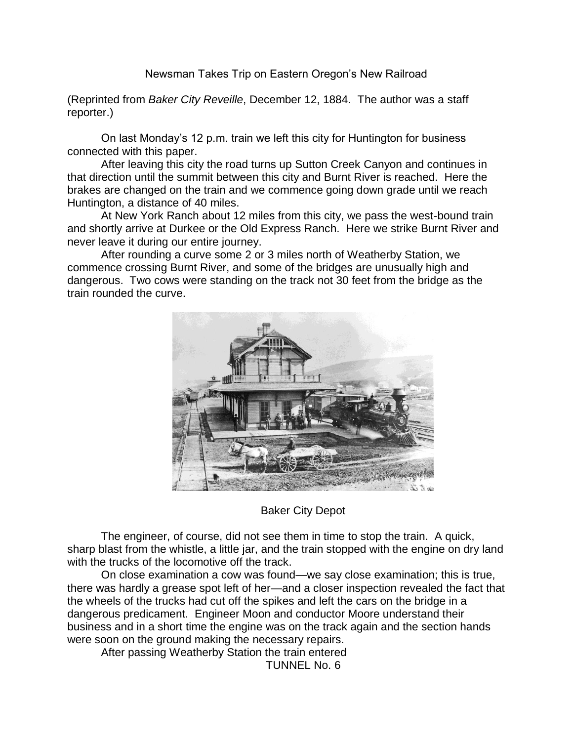Newsman Takes Trip on Eastern Oregon's New Railroad

(Reprinted from *Baker City Reveille*, December 12, 1884. The author was a staff reporter.)

On last Monday's 12 p.m. train we left this city for Huntington for business connected with this paper.

After leaving this city the road turns up Sutton Creek Canyon and continues in that direction until the summit between this city and Burnt River is reached. Here the brakes are changed on the train and we commence going down grade until we reach Huntington, a distance of 40 miles.

At New York Ranch about 12 miles from this city, we pass the west-bound train and shortly arrive at Durkee or the Old Express Ranch. Here we strike Burnt River and never leave it during our entire journey.

After rounding a curve some 2 or 3 miles north of Weatherby Station, we commence crossing Burnt River, and some of the bridges are unusually high and dangerous. Two cows were standing on the track not 30 feet from the bridge as the train rounded the curve.



Baker City Depot

The engineer, of course, did not see them in time to stop the train. A quick, sharp blast from the whistle, a little jar, and the train stopped with the engine on dry land with the trucks of the locomotive off the track.

On close examination a cow was found—we say close examination; this is true, there was hardly a grease spot left of her—and a closer inspection revealed the fact that the wheels of the trucks had cut off the spikes and left the cars on the bridge in a dangerous predicament. Engineer Moon and conductor Moore understand their business and in a short time the engine was on the track again and the section hands were soon on the ground making the necessary repairs.

After passing Weatherby Station the train entered TUNNEL No. 6